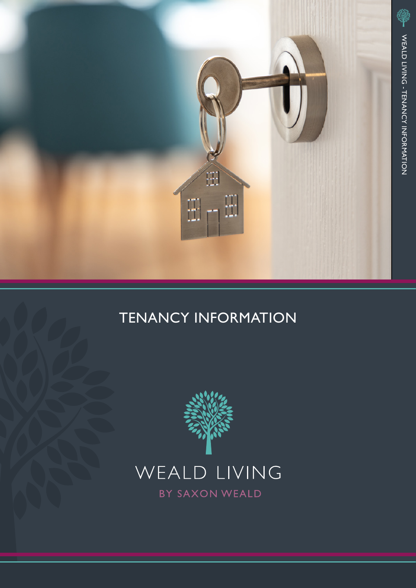

# TENANCY INFORMATION



BY SAXON WEALD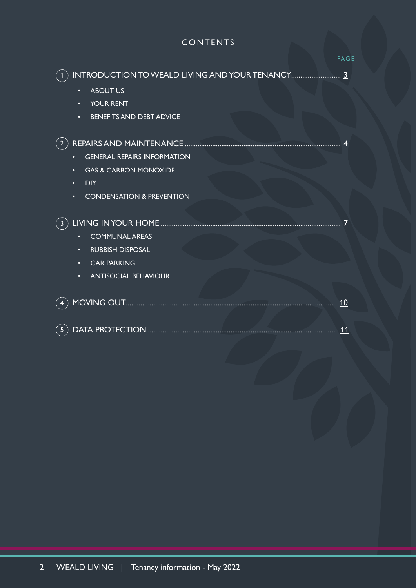# CONTENTS

|                                                                                                                                                                                  | <b>PAGE</b> |
|----------------------------------------------------------------------------------------------------------------------------------------------------------------------------------|-------------|
| <b>ABOUT US</b><br>$\bullet$<br><b>YOUR RENT</b><br>$\bullet$<br><b>BENEFITS AND DEBT ADVICE</b><br>$\bullet$                                                                    |             |
| <b>GENERAL REPAIRS INFORMATION</b><br>$\bullet$<br><b>GAS &amp; CARBON MONOXIDE</b><br>$\bullet$<br><b>DIY</b><br>$\bullet$<br><b>CONDENSATION &amp; PREVENTION</b><br>$\bullet$ |             |
| <b>COMMUNAL AREAS</b><br><b>RUBBISH DISPOSAL</b><br>$\bullet$<br><b>CAR PARKING</b><br>$\bullet$<br><b>ANTISOCIAL BEHAVIOUR</b><br>$\bullet$                                     |             |
|                                                                                                                                                                                  |             |
| 5 <sup>1</sup>                                                                                                                                                                   |             |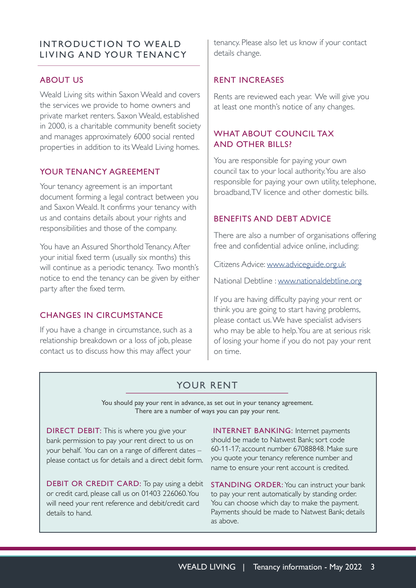# <span id="page-2-0"></span>INTRODUCTION TO WEALD LIVING AND YOUR TENANCY

# ABOUT US

Weald Living sits within Saxon Weald and covers the services we provide to home owners and private market renters. Saxon Weald, established in 2000, is a charitable community benefit society and manages approximately 6000 social rented properties in addition to its Weald Living homes.

# YOUR TENANCY AGREEMENT

Your tenancy agreement is an important document forming a legal contract between you and Saxon Weald. It confirms your tenancy with us and contains details about your rights and responsibilities and those of the company.

You have an Assured Shorthold Tenancy. After your initial fixed term (usually six months) this will continue as a periodic tenancy. Two month's notice to end the tenancy can be given by either party after the fixed term.

# CHANGES IN CIRCUMSTANCE

If you have a change in circumstance, such as a relationship breakdown or a loss of job, please contact us to discuss how this may affect your

tenancy. Please also let us know if your contact details change.

# RENT INCREASES

Rents are reviewed each year. We will give you at least one month's notice of any changes.

# WHAT ABOUT COUNCIL TAX AND OTHER BILLS?

You are responsible for paying your own council tax to your local authority. You are also responsible for paying your own utility, telephone, broadband, TV licence and other domestic bills.

# BENEFITS AND DEBT ADVICE

There are also a number of organisations offering free and confidential advice online, including:

Citizens Advice: [www.adviceguide.org.uk](http://www.adviceguide.org.uk)

National Debtline : [www.nationaldebtline.org](http://www.nationaldebtline.org)

If you are having difficulty paying your rent or think you are going to start having problems, please contact us. We have specialist advisers who may be able to help. You are at serious risk of losing your home if you do not pay your rent on time.

# YOUR RENT

You should pay your rent in advance, as set out in your tenancy agreement. There are a number of ways you can pay your rent.

DIRECT DEBIT: This is where you give your bank permission to pay your rent direct to us on your behalf. You can on a range of different dates – please contact us for details and a direct debit form.

DEBIT OR CREDIT CARD: To pay using a debit or credit card, please call us on 01403 226060. You will need your rent reference and debit/credit card details to hand.

INTERNET BANKING: Internet payments should be made to Natwest Bank; sort code 60-11-17; account number 67088848. Make sure you quote your tenancy reference number and name to ensure your rent account is credited.

**STANDING ORDER:** You can instruct your bank to pay your rent automatically by standing order. You can choose which day to make the payment. Payments should be made to Natwest Bank; details as above.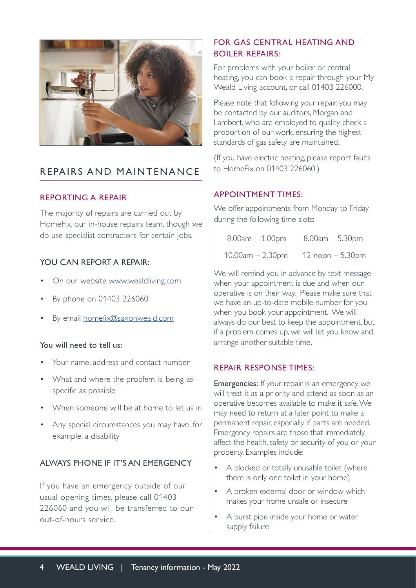<span id="page-3-0"></span>

# REPAIRS AND MAINTENANCE

# REPORTING A REPAIR

The majority of repairs are carried out by HomeFix, our in-house repairs team, though we do use specialist contractors for certain jobs.

# YOU CAN REPORT A REPAIR:

- On our website [www.wealdliving.com](http://www.wealdliving.com)
- By phone on 01403 226060
- By email [homefix@saxonweald.com](mailto:homefix%40saxonweald.com?subject=)

### You will need to tell us:

- Your name, address and contact number
- What and where the problem is, being as specific as possible
- When someone will be at home to let us in
- Any special circumstances you may have, for example, a disability

# ALWAYS PHONE IF IT'S AN EMERGENCY

If you have an emergency outside of our usual opening times, please call 01403 226060 and you will be transferred to our out-of-hours service.

# FOR GAS CENTRAL HEATING AND BOILER REPAIRS:

For problems with your boiler or central heating, you can book a repair through your My Weald Living account, or call 01403 226000.

Please note that following your repair, you may be contacted by our auditors, Morgan and Lambert, who are employed to quality check a proportion of our work, ensuring the highest standards of gas safety are maintained.

(If you have electric heating, please report faults to HomeFix on 01403 226060.)

# APPOINTMENT TIMES:

We offer appointments from Monday to Friday during the following time slots:

| $8.00am - 1.00pm$ | $8.00am - 5.30pm$  |
|-------------------|--------------------|
| 10.00am – 2.30pm  | 12 $noon - 5.30pm$ |

We will remind you in advance by text message when your appointment is due and when our operative is on their way. Please make sure that we have an up-to-date mobile number for you when you book your appointment. We will always do our best to keep the appointment, but if a problem comes up, we will let you know and arrange another suitable time.

### REPAIR RESPONSE TIMES:

**Emergencies:** If your repair is an emergency, we will treat it as a priority and attend as soon as an operative becomes available to make it safe. We may need to return at a later point to make a permanent repair, especially if parts are needed. Emergency repairs are those that immediately affect the health, safety or security of you or your property. Examples include:

- A blocked or totally unusable toilet (where there is only one toilet in your home)
- A broken external door or window which makes your home unsafe or insecure
- A burst pipe inside your home or water supply failure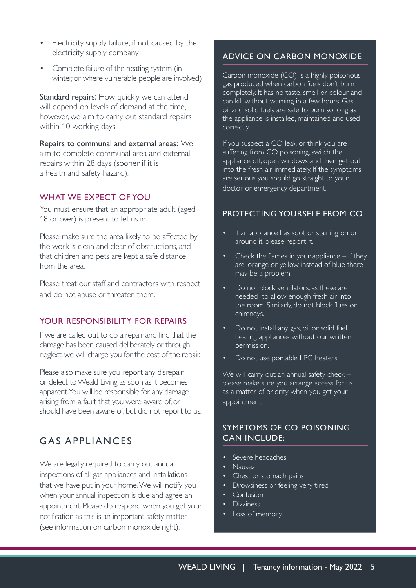- Electricity supply failure, if not caused by the electricity supply company
- Complete failure of the heating system (in winter, or where vulnerable people are involved)

Standard repairs: How quickly we can attend will depend on levels of demand at the time, however, we aim to carry out standard repairs within 10 working days.

Repairs to communal and external areas: We aim to complete communal area and external repairs within 28 days (sooner if it is a health and safety hazard).

#### WHAT WE EXPECT OF YOU

You must ensure that an appropriate adult (aged 18 or over) is present to let us in.

Please make sure the area likely to be affected by the work is clean and clear of obstructions, and that children and pets are kept a safe distance from the area.

Please treat our staff and contractors with respect and do not abuse or threaten them.

### YOUR RESPONSIBILITY FOR REPAIRS

If we are called out to do a repair and find that the damage has been caused deliberately or through neglect, we will charge you for the cost of the repair.

Please also make sure you report any disrepair or defect to Weald Living as soon as it becomes apparent. You will be responsible for any damage arising from a fault that you were aware of, or should have been aware of, but did not report to us.

# GAS APPLIANCES

We are legally required to carry out annual inspections of all gas appliances and installations that we have put in your home. We will notify you when your annual inspection is due and agree an appointment. Please do respond when you get your notification as this is an important safety matter (see information on carbon monoxide right).

# ADVICE ON CARBON MONOXIDE

Carbon monoxide (CO) is a highly poisonous gas produced when carbon fuels don't burn completely. It has no taste, smell or colour and can kill without warning in a few hours. Gas, oil and solid fuels are safe to burn so long as the appliance is installed, maintained and used correctly.

If you suspect a CO leak or think you are suffering from CO poisoning, switch the appliance off, open windows and then get out into the fresh air immediately. If the symptoms are serious you should go straight to your doctor or emergency department.

#### PROTECTING YOURSELF FROM CO

- If an appliance has soot or staining on or around it, please report it.
- Check the flames in your appliance  $-$  if they are orange or yellow instead of blue there may be a problem.
- Do not block ventilators, as these are needed to allow enough fresh air into the room. Similarly, do not block flues or chimneys.
- Do not install any gas, oil or solid fuel heating appliances without our written permission.
- Do not use portable LPG heaters.

We will carry out an annual safety check please make sure you arrange access for us as a matter of priority when you get your appointment.

### SYMPTOMS OF CO POISONING CAN INCLUDE:

- Severe headaches
- Nausea
- Chest or stomach pains
- Drowsiness or feeling very tired
- Confusion
- Dizziness
- Loss of memory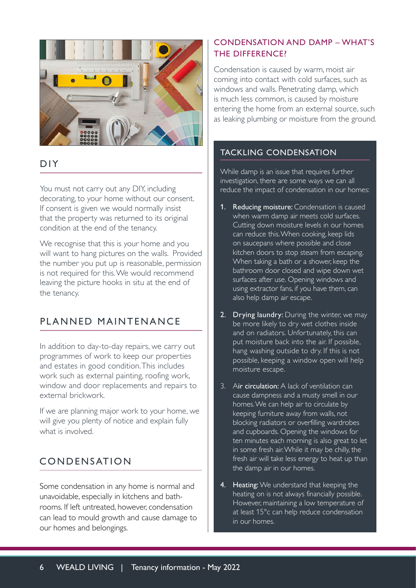

# DIY

You must not carry out any DIY, including decorating, to your home without our consent. If consent is given we would normally insist that the property was returned to its original condition at the end of the tenancy.

We recognise that this is your home and you will want to hang pictures on the walls. Provided the number you put up is reasonable, permission is not required for this. We would recommend leaving the picture hooks in situ at the end of the tenancy.

# PLANNED MAINTENANCE

In addition to day-to-day repairs, we carry out programmes of work to keep our properties and estates in good condition. This includes work such as external painting, roofing work, window and door replacements and repairs to external brickwork.

If we are planning major work to your home, we will give you plenty of notice and explain fully what is involved.

# CONDENSATION

Some condensation in any home is normal and unavoidable, especially in kitchens and bathrooms. If left untreated, however, condensation can lead to mould growth and cause damage to our homes and belongings.

# CONDENSATION AND DAMP – WHAT'S THE DIFFERENCE?

Condensation is caused by warm, moist air coming into contact with cold surfaces, such as windows and walls. Penetrating damp, which is much less common, is caused by moisture entering the home from an external source, such as leaking plumbing or moisture from the ground.

# TACKLING CONDENSATION

While damp is an issue that requires further investigation, there are some ways we can all reduce the impact of condensation in our homes:

- 1. Reducing moisture: Condensation is caused when warm damp air meets cold surfaces. Cutting down moisture levels in our homes can reduce this. When cooking, keep lids on saucepans where possible and close kitchen doors to stop steam from escaping. When taking a bath or a shower, keep the bathroom door closed and wipe down wet surfaces after use. Opening windows and using extractor fans, if you have them, can also help damp air escape.
- 2. Drying laundry: During the winter, we may be more likely to dry wet clothes inside and on radiators. Unfortunately, this can put moisture back into the air. If possible, hang washing outside to dry. If this is not possible, keeping a window open will help moisture escape.
- 3. Air circulation: A lack of ventilation can cause dampness and a musty smell in our homes. We can help air to circulate by keeping furniture away from walls, not blocking radiators or overfilling wardrobes and cupboards. Opening the windows for ten minutes each morning is also great to let in some fresh air. While it may be chilly, the fresh air will take less energy to heat up than the damp air in our homes.
- 4. Heating: We understand that keeping the heating on is not always financially possible. However, maintaining a low temperature of at least 15°c can help reduce condensation in our homes.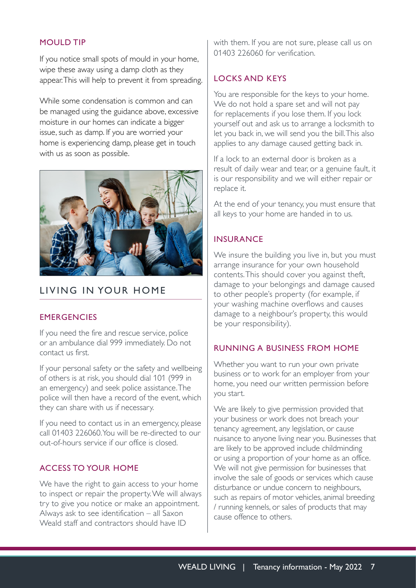### <span id="page-6-0"></span>MOULD TIP

If you notice small spots of mould in your home, wipe these away using a damp cloth as they appear. This will help to prevent it from spreading.

While some condensation is common and can be managed using the guidance above, excessive moisture in our homes can indicate a bigger issue, such as damp. If you are worried your home is experiencing damp, please get in touch with us as soon as possible.



# LIVING IN YOUR HOME

### **EMERGENCIES**

If you need the fire and rescue service, police or an ambulance dial 999 immediately. Do not contact us first.

If your personal safety or the safety and wellbeing of others is at risk, you should dial 101 (999 in an emergency) and seek police assistance. The police will then have a record of the event, which they can share with us if necessary.

If you need to contact us in an emergency, please call 01403 226060. You will be re-directed to our out-of-hours service if our office is closed.

### ACCESS TO YOUR HOME

We have the right to gain access to your home to inspect or repair the property. We will always try to give you notice or make an appointment. Always ask to see identification – all Saxon Weald staff and contractors should have ID

with them. If you are not sure, please call us on 01403 226060 for verification.

#### LOCKS AND KEYS

You are responsible for the keys to your home. We do not hold a spare set and will not pay for replacements if you lose them. If you lock yourself out and ask us to arrange a locksmith to let you back in, we will send you the bill. This also applies to any damage caused getting back in.

If a lock to an external door is broken as a result of daily wear and tear, or a genuine fault, it is our responsibility and we will either repair or replace it.

At the end of your tenancy, you must ensure that all keys to your home are handed in to us.

#### INSURANCE

We insure the building you live in, but you must arrange insurance for your own household contents. This should cover you against theft, damage to your belongings and damage caused to other people's property (for example, if your washing machine overflows and causes damage to a neighbour's property, this would be your responsibility).

# RUNNING A BUSINESS FROM HOME

Whether you want to run your own private business or to work for an employer from your home, you need our written permission before you start.

We are likely to give permission provided that your business or work does not breach your tenancy agreement, any legislation, or cause nuisance to anyone living near you. Businesses that are likely to be approved include childminding or using a proportion of your home as an office. We will not give permission for businesses that involve the sale of goods or services which cause disturbance or undue concern to neighbours, such as repairs of motor vehicles, animal breeding / running kennels, or sales of products that may cause offence to others.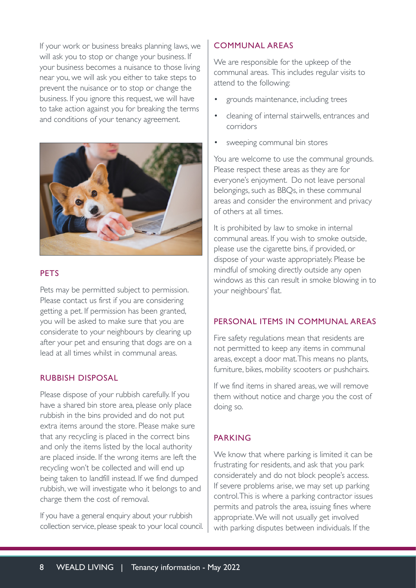If your work or business breaks planning laws, we will ask you to stop or change your business. If your business becomes a nuisance to those living near you, we will ask you either to take steps to prevent the nuisance or to stop or change the business. If you ignore this request, we will have to take action against you for breaking the terms and conditions of your tenancy agreement.



### **PFTS**

Pets may be permitted subject to permission. Please contact us first if you are considering getting a pet. If permission has been granted, you will be asked to make sure that you are considerate to your neighbours by clearing up after your pet and ensuring that dogs are on a lead at all times whilst in communal areas.

#### RUBBISH DISPOSAL

Please dispose of your rubbish carefully. If you have a shared bin store area, please only place rubbish in the bins provided and do not put extra items around the store. Please make sure that any recycling is placed in the correct bins and only the items listed by the local authority are placed inside. If the wrong items are left the recycling won't be collected and will end up being taken to landfill instead. If we find dumped rubbish, we will investigate who it belongs to and charge them the cost of removal.

If you have a general enquiry about your rubbish collection service, please speak to your local council.

#### COMMUNAL AREAS

We are responsible for the upkeep of the communal areas. This includes regular visits to attend to the following:

- grounds maintenance, including trees
- cleaning of internal stairwells, entrances and corridors
- sweeping communal bin stores

You are welcome to use the communal grounds. Please respect these areas as they are for everyone's enjoyment. Do not leave personal belongings, such as BBQs, in these communal areas and consider the environment and privacy of others at all times.

It is prohibited by law to smoke in internal communal areas. If you wish to smoke outside, please use the cigarette bins, if provided, or dispose of your waste appropriately. Please be mindful of smoking directly outside any open windows as this can result in smoke blowing in to your neighbours' flat.

#### PERSONAL ITEMS IN COMMUNAL AREAS

Fire safety regulations mean that residents are not permitted to keep any items in communal areas, except a door mat. This means no plants, furniture, bikes, mobility scooters or pushchairs.

If we find items in shared areas, we will remove them without notice and charge you the cost of doing so.

### PARKING

We know that where parking is limited it can be frustrating for residents, and ask that you park considerately and do not block people's access. If severe problems arise, we may set up parking control. This is where a parking contractor issues permits and patrols the area, issuing fines where appropriate. We will not usually get involved with parking disputes between individuals. If the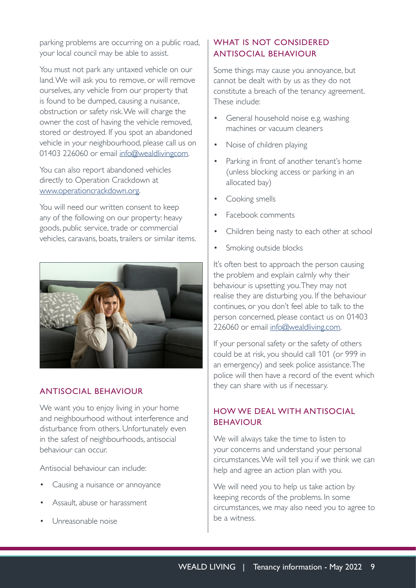parking problems are occurring on a public road, your local council may be able to assist.

You must not park any untaxed vehicle on our land. We will ask you to remove, or will remove ourselves, any vehicle from our property that is found to be dumped, causing a nuisance, obstruction or safety risk. We will charge the owner the cost of having the vehicle removed, stored or destroyed. If you spot an abandoned vehicle in your neighbourhood, please call us on 01403 226060 or email [info@wealdlivingcom](mailto:info%40wealdlivingcom?subject=).

You can also report abandoned vehicles directly to Operation Crackdown at [www.operationcrackdown.org](http://www.operationcrackdown.org).

You will need our written consent to keep any of the following on our property: heavy goods, public service, trade or commercial vehicles, caravans, boats, trailers or similar items.



# ANTISOCIAL BEHAVIOUR

We want you to enjoy living in your home and neighbourhood without interference and disturbance from others. Unfortunately even in the safest of neighbourhoods, antisocial behaviour can occur.

Antisocial behaviour can include:

- Causing a nuisance or annoyance
- Assault, abuse or harassment
- Unreasonable noise

# WHAT IS NOT CONSIDERED ANTISOCIAL BEHAVIOUR

Some things may cause you annoyance, but cannot be dealt with by us as they do not constitute a breach of the tenancy agreement. These include:

- General household noise e.g. washing machines or vacuum cleaners
- Noise of children playing
- Parking in front of another tenant's home (unless blocking access or parking in an allocated bay)
- Cooking smells
- Facebook comments
- Children being nasty to each other at school
- Smoking outside blocks

It's often best to approach the person causing the problem and explain calmly why their behaviour is upsetting you. They may not realise they are disturbing you. If the behaviour continues, or you don't feel able to talk to the person concerned, please contact us on 01403 226060 or email [info@wealdliving.com](mailto:info%40wealdliving.com?subject=).

If your personal safety or the safety of others could be at risk, you should call 101 (or 999 in an emergency) and seek police assistance. The police will then have a record of the event which they can share with us if necessary.

# HOW WE DEAL WITH ANTISOCIAL BEHAVIOUR

We will always take the time to listen to your concerns and understand your personal circumstances. We will tell you if we think we can help and agree an action plan with you.

We will need you to help us take action by keeping records of the problems. In some circumstances, we may also need you to agree to be a witness.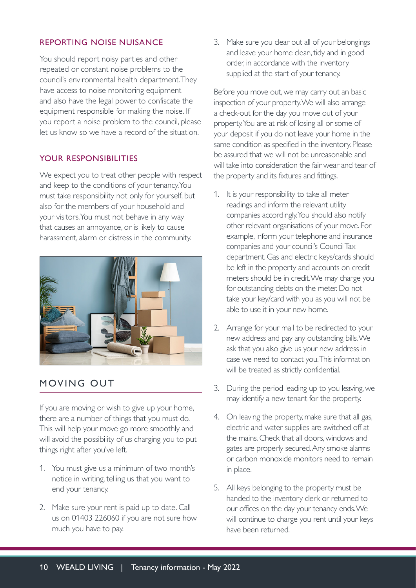# <span id="page-9-0"></span>REPORTING NOISE NUISANCE

You should report noisy parties and other repeated or constant noise problems to the council's environmental health department. They have access to noise monitoring equipment and also have the legal power to confiscate the equipment responsible for making the noise. If you report a noise problem to the council, please let us know so we have a record of the situation.

# YOUR RESPONSIBILITIES

We expect you to treat other people with respect and keep to the conditions of your tenancy. You must take responsibility not only for yourself, but also for the members of your household and your visitors. You must not behave in any way that causes an annoyance, or is likely to cause harassment, alarm or distress in the community.



# MOVING OUT

If you are moving or wish to give up your home, there are a number of things that you must do. This will help your move go more smoothly and will avoid the possibility of us charging you to put things right after you've left.

- 1. You must give us a minimum of two month's notice in writing, telling us that you want to end your tenancy.
- 2. Make sure your rent is paid up to date. Call us on 01403 226060 if you are not sure how much you have to pay.

3. Make sure you clear out all of your belongings and leave your home clean, tidy and in good order, in accordance with the inventory supplied at the start of your tenancy.

Before you move out, we may carry out an basic inspection of your property. We will also arrange a check-out for the day you move out of your property. You are at risk of losing all or some of your deposit if you do not leave your home in the same condition as specified in the inventory. Please be assured that we will not be unreasonable and will take into consideration the fair wear and tear of the property and its fixtures and fittings.

- 1. It is your responsibility to take all meter readings and inform the relevant utility companies accordingly. You should also notify other relevant organisations of your move. For example, inform your telephone and insurance companies and your council's Council Tax department. Gas and electric keys/cards should be left in the property and accounts on credit meters should be in credit. We may charge you for outstanding debts on the meter. Do not take your key/card with you as you will not be able to use it in your new home.
- 2. Arrange for your mail to be redirected to your new address and pay any outstanding bills. We ask that you also give us your new address in case we need to contact you. This information will be treated as strictly confidential.
- 3. During the period leading up to you leaving, we may identify a new tenant for the property.
- 4. On leaving the property, make sure that all gas, electric and water supplies are switched off at the mains. Check that all doors, windows and gates are properly secured. Any smoke alarms or carbon monoxide monitors need to remain in place.
- 5. All keys belonging to the property must be handed to the inventory clerk or returned to our offices on the day your tenancy ends. We will continue to charge you rent until your keys have been returned.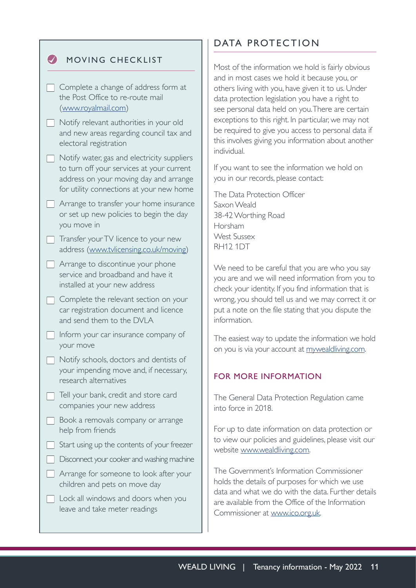| <b>MOVING CHECKLIST</b> |
|-------------------------|
|                         |

<span id="page-10-0"></span> $\bullet$ 

| $\Box$ Complete a change of address form at |
|---------------------------------------------|
| the Post Office to re-route mail            |
| (www.royalmail.com)                         |

- $\Box$  Notify relevant authorities in your old and new areas regarding council tax and electoral registration
- $\Box$  Notify water, gas and electricity suppliers to turn off your services at your current address on your moving day and arrange for utility connections at your new home
- $\Box$  Arrange to transfer your home insurance or set up new policies to begin the day you move in
- $\Box$  Transfer your TV licence to your new address ([www.tvlicensing.co.uk/moving](http://www.tvlicensing.co.uk/moving))
- $\Box$  Arrange to discontinue your phone service and broadband and have it installed at your new address
- $\Box$  Complete the relevant section on your car registration document and licence and send them to the DVLA
- $\Box$  Inform your car insurance company of your move
- $\Box$  Notify schools, doctors and dentists of your impending move and, if necessary, research alternatives
- $\Box$  Tell your bank, credit and store card companies your new address
- $\Box$  Book a removals company or arrange help from friends
- $\Box$  Start using up the contents of your freezer
- **Disconnect your cooker and washing machine**
- $\Box$  Arrange for someone to look after your children and pets on move day
- $\Box$  Lock all windows and doors when you leave and take meter readings

# DATA PROTECTION

Most of the information we hold is fairly obvious and in most cases we hold it because you, or others living with you, have given it to us. Under data protection legislation you have a right to see personal data held on you. There are certain exceptions to this right. In particular, we may not be required to give you access to personal data if this involves giving you information about another individual.

If you want to see the information we hold on you in our records, please contact:

The Data Protection Officer Saxon Weald 38-42 Worthing Road Horsham West Sussex RH12 1DT

We need to be careful that you are who you say you are and we will need information from you to check your identity. If you find information that is wrong, you should tell us and we may correct it or put a note on the file stating that you dispute the information.

The easiest way to update the information we hold on you is via your account at [mywealdliving.com](https://my.saxonweald.com/wealdliving/www/login).

# FOR MORE INFORMATION

The General Data Protection Regulation came into force in 2018.

For up to date information on data protection or to view our policies and guidelines, please visit our website [www.wealdliving.com.](https://www.wealdliving.com/privacy/)

The Government's Information Commissioner holds the details of purposes for which we use data and what we do with the data. Further details are available from the Office of the Information Commissioner at [www.ico.org.uk.](http://www.ico.org.uk)